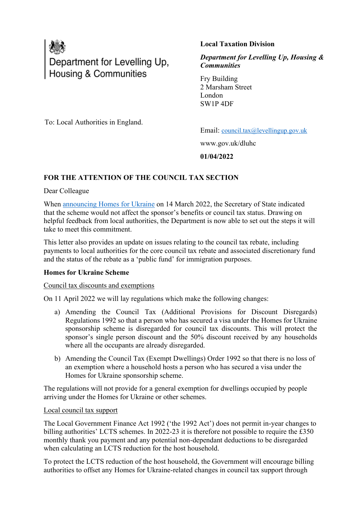

# **Local Taxation Division**

*Department for Levelling Up, Housing & Communities*

Fry Building 2 Marsham Street London SW1P 4DF

To: Local Authorities in England.

Email: [council.tax@levellingup.gov.uk](mailto:council.tax@levellingup.gov.uk)

www.gov.uk/dluhc

**01/04/2022**

### **FOR THE ATTENTION OF THE COUNCIL TAX SECTION**

Dear Colleague

When [announcing Homes for Ukraine](https://hansard.parliament.uk/commons/2022-03-14/debates/8B28287A-F683-4F80-8A1F-AA1016D92B27/UkraineSponsorshipScheme) on 14 March 2022, the Secretary of State indicated that the scheme would not affect the sponsor's benefits or council tax status. Drawing on helpful feedback from local authorities, the Department is now able to set out the steps it will take to meet this commitment.

This letter also provides an update on issues relating to the council tax rebate, including payments to local authorities for the core council tax rebate and associated discretionary fund and the status of the rebate as a 'public fund' for immigration purposes.

### **Homes for Ukraine Scheme**

### Council tax discounts and exemptions

On 11 April 2022 we will lay regulations which make the following changes:

- a) Amending the Council Tax (Additional Provisions for Discount Disregards) Regulations 1992 so that a person who has secured a visa under the Homes for Ukraine sponsorship scheme is disregarded for council tax discounts. This will protect the sponsor's single person discount and the 50% discount received by any households where all the occupants are already disregarded.
- b) Amending the Council Tax (Exempt Dwellings) Order 1992 so that there is no loss of an exemption where a household hosts a person who has secured a visa under the Homes for Ukraine sponsorship scheme.

The regulations will not provide for a general exemption for dwellings occupied by people arriving under the Homes for Ukraine or other schemes.

### Local council tax support

The Local Government Finance Act 1992 ('the 1992 Act') does not permit in-year changes to billing authorities' LCTS schemes. In 2022-23 it is therefore not possible to require the £350 monthly thank you payment and any potential non-dependant deductions to be disregarded when calculating an LCTS reduction for the host household.

To protect the LCTS reduction of the host household, the Government will encourage billing authorities to offset any Homes for Ukraine-related changes in council tax support through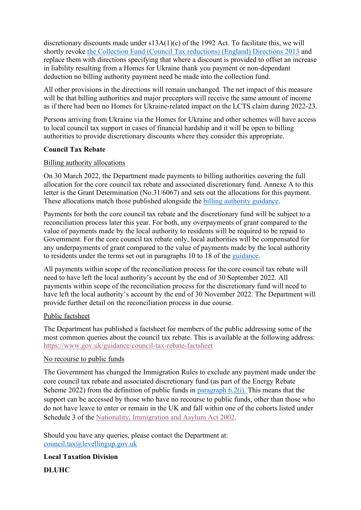discretionary discounts made under s13A(1)(c) of the 1992 Act. To facilitate this, we will shortly revoke [the Collection Fund \(Council Tax reductions\) \(England\) Directions 2013](https://assets.publishing.service.gov.uk/government/uploads/system/uploads/attachment_data/file/142645/130315_-_Direction_-_Discretionary_discounts_under_Section_13A_-_FINAL.pdf) and replace them with directions specifying that where a discount is provided to offset an increase in liability resulting from a Homes for Ukraine thank you payment or non-dependant deduction no billing authority payment need be made into the collection fund.

All other provisions in the directions will remain unchanged. The net impact of this measure will be that billing authorities and major preceptors will receive the same amount of income as if there had been no Homes for Ukraine-related impact on the LCTS claim during 2022-23.

Persons arriving from Ukraine via the Homes for Ukraine and other schemes will have access to local council tax support in cases of financial hardship and it will be open to billing authorities to provide discretionary discounts where they consider this appropriate.

### **Council Tax Rebate**

### Billing authority allocations

On 30 March 2022, the Department made payments to billing authorities covering the full allocation for the core council tax rebate and associated discretionary fund. Annexe A to this letter is the Grant Determination (No.31/6067) and sets out the allocations for this payment. These allocations match those published alongside the [billing authority guidance.](https://www.gov.uk/government/publications/the-council-tax-rebate-2022-23-billing-authority-guidance/support-for-energy-bills-the-council-tax-rebate-2022-23-billing-authority-guidance)

Payments for both the core council tax rebate and the discretionary fund will be subject to a reconciliation process later this year. For both, any overpayments of grant compared to the value of payments made by the local authority to residents will be required to be repaid to Government. For the core council tax rebate only, local authorities will be compensated for any underpayments of grant compared to the value of payments made by the local authority to residents under the terms set out in paragraphs 10 to 18 of the [guidance.](https://www.gov.uk/government/publications/the-council-tax-rebate-2022-23-billing-authority-guidance/support-for-energy-bills-the-council-tax-rebate-2022-23-billing-authority-guidance)

All payments within scope of the reconciliation process for the core council tax rebate will need to have left the local authority's account by the end of 30 September 2022. All payments within scope of the reconciliation process for the discretionary fund will need to have left the local authority's account by the end of 30 November 2022. The Department will provide further detail on the reconciliation process in due course.

### Public factsheet

The Department has published a factsheet for members of the public addressing some of the most common queries about the council tax rebate. This is available at the following address: <https://www.gov.uk/guidance/council-tax-rebate-factsheet>

### No recourse to public funds

The Government has changed the Immigration Rules to exclude any payment made under the core council tax rebate and associated discretionary fund (as part of the Energy Rebate Scheme 2022) from the definition of public funds in [paragraph](https://www.gov.uk/guidance/immigration-rules/immigration-rules-introduction#intro6) 6.2(i). This means that the support can be accessed by those who have no recourse to public funds, other than those who do not have leave to enter or remain in the UK and fall within one of the cohorts listed under Schedule 3 of the [Nationality, Immigration and Asylum Act 2002.](https://www.legislation.gov.uk/ukpga/2002/41/schedule/3)

Should you have any queries, please contact the Department at: [council.tax@levellingup.gov.uk](mailto:council.tax@levellingup.gov.uk)

**Local Taxation Division**

**DLUHC**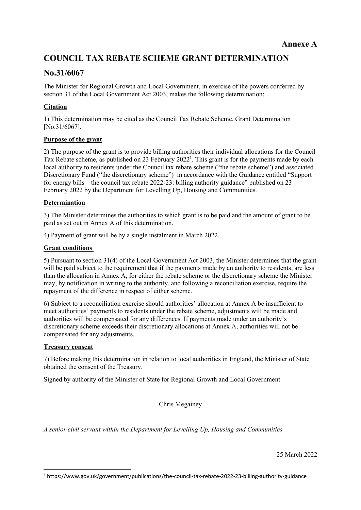# **COUNCIL TAX REBATE SCHEME GRANT DETERMINATION**

# **No.31/6067**

The Minister for Regional Growth and Local Government, in exercise of the powers conferred by section 31 of the Local Government Act 2003, makes the following determination:

# **Citation**

1) This determination may be cited as the Council Tax Rebate Scheme, Grant Determination [No.31/6067].

### **Purpose of the grant**

2) The purpose of the grant is to provide billing authorities their individual allocations for the Council Tax Rebate scheme, as published on 23 February 2022<sup>1</sup>. This grant is for the payments made by each local authority to residents under the Council tax rebate scheme ("the rebate scheme") and associated Discretionary Fund ("the discretionary scheme") in accordance with the Guidance entitled "Support for energy bills – the council tax rebate 2022-23: billing authority guidance" published on 23 February 2022 by the Department for Levelling Up, Housing and Communities.

### **Determination**

3) The Minister determines the authorities to which grant is to be paid and the amount of grant to be paid as set out in Annex A of this determination.

4) Payment of grant will be by a single instalment in March 2022.

### **Grant conditions**

5) Pursuant to section 31(4) of the Local Government Act 2003, the Minister determines that the grant will be paid subject to the requirement that if the payments made by an authority to residents, are less than the allocation in Annex A, for either the rebate scheme or the discretionary scheme the Minister may, by notification in writing to the authority, and following a reconciliation exercise, require the repayment of the difference in respect of either scheme.

6) Subject to a reconciliation exercise should authorities' allocation at Annex A be insufficient to meet authorities' payments to residents under the rebate scheme, adjustments will be made and authorities will be compensated for any differences. If payments made under an authority's discretionary scheme exceeds their discretionary allocations at Annex A, authorities will not be compensated for any adjustments.

### **Treasury consent**

7) Before making this determination in relation to local authorities in England, the Minister of State obtained the consent of the Treasury.

Signed by authority of the Minister of State for Regional Growth and Local Government

Chris Megainey

*A senior civil servant within the Department for Levelling Up, Housing and Communities*

25 March 2022

<sup>1</sup> https://www.gov.uk/government/publications/the-council-tax-rebate-2022-23-billing-authority-guidance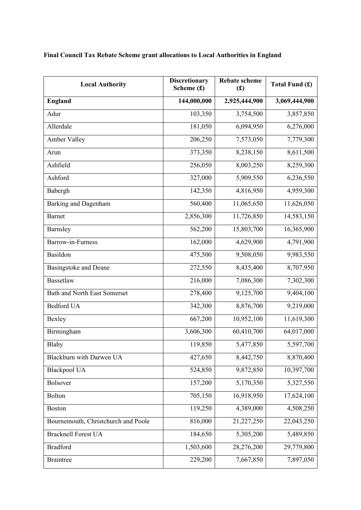| <b>Local Authority</b>              | <b>Discretionary</b><br>Scheme $(f)$ | <b>Rebate scheme</b><br>(f(x)) | Total Fund (£) |
|-------------------------------------|--------------------------------------|--------------------------------|----------------|
| <b>England</b>                      | 144,000,000                          | 2,925,444,900                  | 3,069,444,900  |
| Adur                                | 103,350                              | 3,754,500                      | 3,857,850      |
| Allerdale                           | 181,050                              | 6,094,950                      | 6,276,000      |
| Amber Valley                        | 206,250                              | 7,573,050                      | 7,779,300      |
| Arun                                | 373,350                              | 8,238,150                      | 8,611,500      |
| Ashfield                            | 256,050                              | 8,003,250                      | 8,259,300      |
| Ashford                             | 327,000                              | 5,909,550                      | 6,236,550      |
| Babergh                             | 142,350                              | 4,816,950                      | 4,959,300      |
| Barking and Dagenham                | 560,400                              | 11,065,650                     | 11,626,050     |
| <b>Barnet</b>                       | 2,856,300                            | 11,726,850                     | 14,583,150     |
| Barnsley                            | 562,200                              | 15,803,700                     | 16,365,900     |
| Barrow-in-Furness                   | 162,000                              | 4,629,900                      | 4,791,900      |
| Basildon                            | 475,500                              | 9,508,050                      | 9,983,550      |
| <b>Basingstoke and Deane</b>        | 272,550                              | 8,435,400                      | 8,707,950      |
| Bassetlaw                           | 216,000                              | 7,086,300                      | 7,302,300      |
| <b>Bath and North East Somerset</b> | 278,400                              | 9,125,700                      | 9,404,100      |
| <b>Bedford UA</b>                   | 342,300                              | 8,876,700                      | 9,219,000      |
| Bexley                              | 667,200                              | 10,952,100                     | 11,619,300     |
| Birmingham                          | 3,606,300                            | 60,410,700                     | 64,017,000     |
| Blaby                               | 119,850                              | 5,477,850                      | 5,597,700      |
| Blackburn with Darwen UA            | 427,650                              | 8,442,750                      | 8,870,400      |
| <b>Blackpool UA</b>                 | 524,850                              | 9,872,850                      | 10,397,700     |
| <b>Bolsover</b>                     | 157,200                              | 5,170,350                      | 5,327,550      |
| Bolton                              | 705,150                              | 16,918,950                     | 17,624,100     |
| <b>Boston</b>                       | 119,250                              | 4,389,000                      | 4,508,250      |
| Bournemouth, Christchurch and Poole | 816,000                              | 21,227,250                     | 22,043,250     |
| <b>Bracknell Forest UA</b>          | 184,650                              | 5,305,200                      | 5,489,850      |
| <b>Bradford</b>                     | 1,503,600                            | 28,276,200                     | 29,779,800     |
| <b>Braintree</b>                    | 229,200                              | 7,667,850                      | 7,897,050      |

# **Final Council Tax Rebate Scheme grant allocations to Local Authorities in England**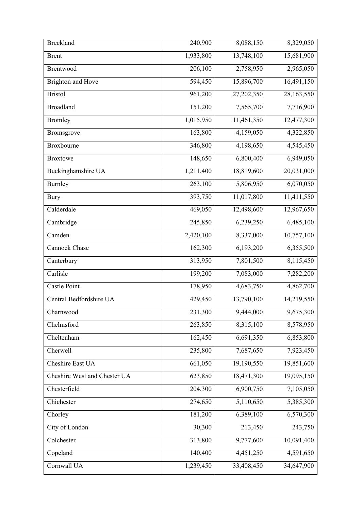| <b>Breckland</b>             | 240,900   | 8,088,150  | 8,329,050  |
|------------------------------|-----------|------------|------------|
| <b>Brent</b>                 | 1,933,800 | 13,748,100 | 15,681,900 |
| <b>Brentwood</b>             | 206,100   | 2,758,950  | 2,965,050  |
| <b>Brighton and Hove</b>     | 594,450   | 15,896,700 | 16,491,150 |
| <b>Bristol</b>               | 961,200   | 27,202,350 | 28,163,550 |
| <b>Broadland</b>             | 151,200   | 7,565,700  | 7,716,900  |
| <b>Bromley</b>               | 1,015,950 | 11,461,350 | 12,477,300 |
| Bromsgrove                   | 163,800   | 4,159,050  | 4,322,850  |
| Broxbourne                   | 346,800   | 4,198,650  | 4,545,450  |
| <b>Broxtowe</b>              | 148,650   | 6,800,400  | 6,949,050  |
| Buckinghamshire UA           | 1,211,400 | 18,819,600 | 20,031,000 |
| Burnley                      | 263,100   | 5,806,950  | 6,070,050  |
| <b>Bury</b>                  | 393,750   | 11,017,800 | 11,411,550 |
| Calderdale                   | 469,050   | 12,498,600 | 12,967,650 |
| Cambridge                    | 245,850   | 6,239,250  | 6,485,100  |
| Camden                       | 2,420,100 | 8,337,000  | 10,757,100 |
| Cannock Chase                | 162,300   | 6,193,200  | 6,355,500  |
| Canterbury                   | 313,950   | 7,801,500  | 8,115,450  |
| Carlisle                     | 199,200   | 7,083,000  | 7,282,200  |
| Castle Point                 | 178,950   | 4,683,750  | 4,862,700  |
| Central Bedfordshire UA      | 429,450   | 13,790,100 | 14,219,550 |
| Charnwood                    | 231,300   | 9,444,000  | 9,675,300  |
| Chelmsford                   | 263,850   | 8,315,100  | 8,578,950  |
| Cheltenham                   | 162,450   | 6,691,350  | 6,853,800  |
| Cherwell                     | 235,800   | 7,687,650  | 7,923,450  |
| Cheshire East UA             | 661,050   | 19,190,550 | 19,851,600 |
| Cheshire West and Chester UA | 623,850   | 18,471,300 | 19,095,150 |
| Chesterfield                 | 204,300   | 6,900,750  | 7,105,050  |
| Chichester                   | 274,650   | 5,110,650  | 5,385,300  |
| Chorley                      | 181,200   | 6,389,100  | 6,570,300  |
| City of London               | 30,300    | 213,450    | 243,750    |
| Colchester                   | 313,800   | 9,777,600  | 10,091,400 |
| Copeland                     | 140,400   | 4,451,250  | 4,591,650  |
| Cornwall UA                  | 1,239,450 | 33,408,450 | 34,647,900 |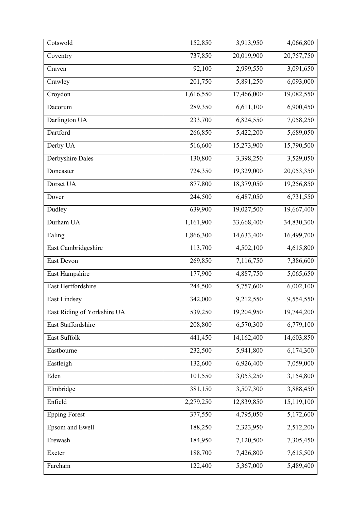| Cotswold                    | 152,850   | 3,913,950  | 4,066,800  |
|-----------------------------|-----------|------------|------------|
| Coventry                    | 737,850   | 20,019,900 | 20,757,750 |
| Craven                      | 92,100    | 2,999,550  | 3,091,650  |
| Crawley                     | 201,750   | 5,891,250  | 6,093,000  |
| Croydon                     | 1,616,550 | 17,466,000 | 19,082,550 |
| Dacorum                     | 289,350   | 6,611,100  | 6,900,450  |
| Darlington UA               | 233,700   | 6,824,550  | 7,058,250  |
| Dartford                    | 266,850   | 5,422,200  | 5,689,050  |
| Derby UA                    | 516,600   | 15,273,900 | 15,790,500 |
| Derbyshire Dales            | 130,800   | 3,398,250  | 3,529,050  |
| Doncaster                   | 724,350   | 19,329,000 | 20,053,350 |
| Dorset UA                   | 877,800   | 18,379,050 | 19,256,850 |
| Dover                       | 244,500   | 6,487,050  | 6,731,550  |
| Dudley                      | 639,900   | 19,027,500 | 19,667,400 |
| Durham UA                   | 1,161,900 | 33,668,400 | 34,830,300 |
| Ealing                      | 1,866,300 | 14,633,400 | 16,499,700 |
| East Cambridgeshire         | 113,700   | 4,502,100  | 4,615,800  |
| East Devon                  | 269,850   | 7,116,750  | 7,386,600  |
| East Hampshire              | 177,900   | 4,887,750  | 5,065,650  |
| East Hertfordshire          | 244,500   | 5,757,600  | 6,002,100  |
| East Lindsey                | 342,000   | 9,212,550  | 9,554,550  |
| East Riding of Yorkshire UA | 539,250   | 19,204,950 | 19,744,200 |
| East Staffordshire          | 208,800   | 6,570,300  | 6,779,100  |
| East Suffolk                | 441,450   | 14,162,400 | 14,603,850 |
| Eastbourne                  | 232,500   | 5,941,800  | 6,174,300  |
| Eastleigh                   | 132,600   | 6,926,400  | 7,059,000  |
| Eden                        | 101,550   | 3,053,250  | 3,154,800  |
| Elmbridge                   | 381,150   | 3,507,300  | 3,888,450  |
| Enfield                     | 2,279,250 | 12,839,850 | 15,119,100 |
| <b>Epping Forest</b>        | 377,550   | 4,795,050  | 5,172,600  |
| Epsom and Ewell             | 188,250   | 2,323,950  | 2,512,200  |
| Erewash                     | 184,950   | 7,120,500  | 7,305,450  |
| Exeter                      | 188,700   | 7,426,800  | 7,615,500  |
| Fareham                     | 122,400   | 5,367,000  | 5,489,400  |
|                             |           |            |            |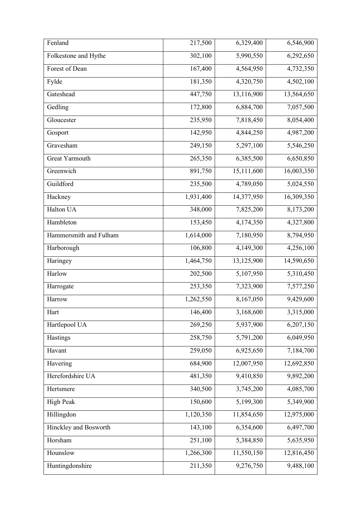| Fenland                | 217,500   | 6,329,400  | 6,546,900              |
|------------------------|-----------|------------|------------------------|
| Folkestone and Hythe   | 302,100   | 5,990,550  | 6,292,650              |
| Forest of Dean         | 167,400   | 4,564,950  | 4,732,350              |
| Fylde                  | 181,350   | 4,320,750  | 4,502,100              |
| Gateshead              | 447,750   | 13,116,900 | 13,564,650             |
| Gedling                | 172,800   | 6,884,700  | 7,057,500              |
| Gloucester             | 235,950   | 7,818,450  | 8,054,400              |
| Gosport                | 142,950   | 4,844,250  | 4,987,200              |
| Gravesham              | 249,150   | 5,297,100  | 5,546,250              |
| <b>Great Yarmouth</b>  | 265,350   | 6,385,500  | 6,650,850              |
| Greenwich              | 891,750   | 15,111,600 | 16,003,350             |
| Guildford              | 235,500   | 4,789,050  | 5,024,550              |
| Hackney                | 1,931,400 | 14,377,950 | 16,309,350             |
| Halton UA              | 348,000   | 7,825,200  | 8,173,200              |
| Hambleton              | 153,450   | 4,174,350  | 4,327,800              |
| Hammersmith and Fulham | 1,614,000 | 7,180,950  | 8,794,950              |
| Harborough             | 106,800   | 4,149,300  | 4,256,100              |
| Haringey               | 1,464,750 | 13,125,900 | 14,590,650             |
| Harlow                 | 202,500   | 5,107,950  | 5,310,450              |
| Harrogate              | 253,350   | 7,323,900  | 7,577,250              |
| Harrow                 | 1,262,550 | 8,167,050  | 9,429,600              |
| Hart                   | 146,400   | 3,168,600  | 3,315,000              |
| Hartlepool UA          | 269,250   | 5,937,900  | 6,207,150              |
| Hastings               | 258,750   | 5,791,200  | 6,049,950              |
| Havant                 | 259,050   | 6,925,650  | 7,184,700              |
| Havering               | 684,900   | 12,007,950 | 12,692,850             |
| Herefordshire UA       | 481,350   | 9,410,850  | 9,892,200              |
| Hertsmere              | 340,500   | 3,745,200  | $\overline{4,}085,700$ |
| <b>High Peak</b>       | 150,600   | 5,199,300  | 5,349,900              |
| Hillingdon             | 1,120,350 | 11,854,650 | 12,975,000             |
| Hinckley and Bosworth  | 143,100   | 6,354,600  | 6,497,700              |
| Horsham                | 251,100   | 5,384,850  | 5,635,950              |
| Hounslow               | 1,266,300 | 11,550,150 | 12,816,450             |
| Huntingdonshire        | 211,350   | 9,276,750  | 9,488,100              |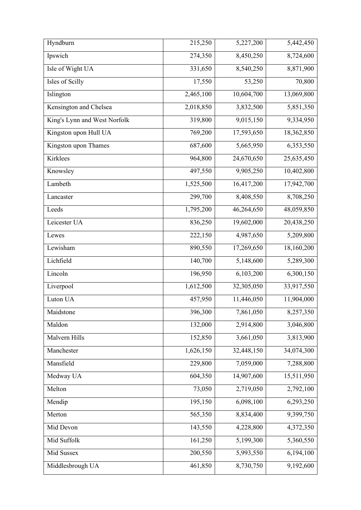| Hyndburn                     | 215,250   | 5,227,200  | 5,442,450  |
|------------------------------|-----------|------------|------------|
| Ipswich                      | 274,350   | 8,450,250  | 8,724,600  |
| Isle of Wight UA             | 331,650   | 8,540,250  | 8,871,900  |
| Isles of Scilly              | 17,550    | 53,250     | 70,800     |
| Islington                    | 2,465,100 | 10,604,700 | 13,069,800 |
| Kensington and Chelsea       | 2,018,850 | 3,832,500  | 5,851,350  |
| King's Lynn and West Norfolk | 319,800   | 9,015,150  | 9,334,950  |
| Kingston upon Hull UA        | 769,200   | 17,593,650 | 18,362,850 |
| Kingston upon Thames         | 687,600   | 5,665,950  | 6,353,550  |
| Kirklees                     | 964,800   | 24,670,650 | 25,635,450 |
| Knowsley                     | 497,550   | 9,905,250  | 10,402,800 |
| Lambeth                      | 1,525,500 | 16,417,200 | 17,942,700 |
| Lancaster                    | 299,700   | 8,408,550  | 8,708,250  |
| Leeds                        | 1,795,200 | 46,264,650 | 48,059,850 |
| Leicester UA                 | 836,250   | 19,602,000 | 20,438,250 |
| Lewes                        | 222,150   | 4,987,650  | 5,209,800  |
| Lewisham                     | 890,550   | 17,269,650 | 18,160,200 |
| Lichfield                    | 140,700   | 5,148,600  | 5,289,300  |
| Lincoln                      | 196,950   | 6,103,200  | 6,300,150  |
| Liverpool                    | 1,612,500 | 32,305,050 | 33,917,550 |
| Luton UA                     | 457,950   | 11,446,050 | 11,904,000 |
| Maidstone                    | 396,300   | 7,861,050  | 8,257,350  |
| Maldon                       | 132,000   | 2,914,800  | 3,046,800  |
| Malvern Hills                | 152,850   | 3,661,050  | 3,813,900  |
| Manchester                   | 1,626,150 | 32,448,150 | 34,074,300 |
| Mansfield                    | 229,800   | 7,059,000  | 7,288,800  |
| Medway UA                    | 604,350   | 14,907,600 | 15,511,950 |
| Melton                       | 73,050    | 2,719,050  | 2,792,100  |
| Mendip                       | 195,150   | 6,098,100  | 6,293,250  |
| Merton                       | 565,350   | 8,834,400  | 9,399,750  |
| Mid Devon                    | 143,550   | 4,228,800  | 4,372,350  |
| Mid Suffolk                  | 161,250   | 5,199,300  | 5,360,550  |
| Mid Sussex                   | 200,550   | 5,993,550  | 6,194,100  |
| Middlesbrough UA             | 461,850   | 8,730,750  | 9,192,600  |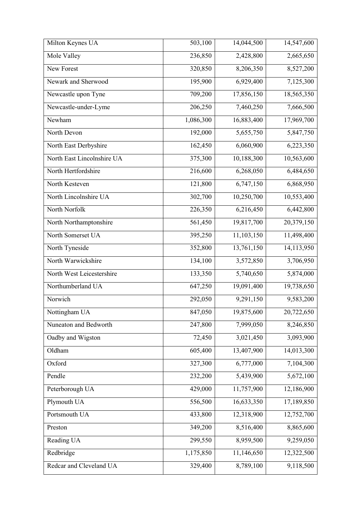| Milton Keynes UA           | 503,100   | 14,044,500 | 14,547,600 |
|----------------------------|-----------|------------|------------|
| Mole Valley                | 236,850   | 2,428,800  | 2,665,650  |
| New Forest                 | 320,850   | 8,206,350  | 8,527,200  |
| Newark and Sherwood        | 195,900   | 6,929,400  | 7,125,300  |
| Newcastle upon Tyne        | 709,200   | 17,856,150 | 18,565,350 |
| Newcastle-under-Lyme       | 206,250   | 7,460,250  | 7,666,500  |
| Newham                     | 1,086,300 | 16,883,400 | 17,969,700 |
| North Devon                | 192,000   | 5,655,750  | 5,847,750  |
| North East Derbyshire      | 162,450   | 6,060,900  | 6,223,350  |
| North East Lincolnshire UA | 375,300   | 10,188,300 | 10,563,600 |
| North Hertfordshire        | 216,600   | 6,268,050  | 6,484,650  |
| North Kesteven             | 121,800   | 6,747,150  | 6,868,950  |
| North Lincolnshire UA      | 302,700   | 10,250,700 | 10,553,400 |
| North Norfolk              | 226,350   | 6,216,450  | 6,442,800  |
| North Northamptonshire     | 561,450   | 19,817,700 | 20,379,150 |
| North Somerset UA          | 395,250   | 11,103,150 | 11,498,400 |
| North Tyneside             | 352,800   | 13,761,150 | 14,113,950 |
| North Warwickshire         | 134,100   | 3,572,850  | 3,706,950  |
| North West Leicestershire  | 133,350   | 5,740,650  | 5,874,000  |
| Northumberland UA          | 647,250   | 19,091,400 | 19,738,650 |
| Norwich                    | 292,050   | 9,291,150  | 9,583,200  |
| Nottingham UA              | 847,050   | 19,875,600 | 20,722,650 |
| Nuneaton and Bedworth      | 247,800   | 7,999,050  | 8,246,850  |
| Oadby and Wigston          | 72,450    | 3,021,450  | 3,093,900  |
| Oldham                     | 605,400   | 13,407,900 | 14,013,300 |
| Oxford                     | 327,300   | 6,777,000  | 7,104,300  |
| Pendle                     | 232,200   | 5,439,900  | 5,672,100  |
| Peterborough UA            | 429,000   | 11,757,900 | 12,186,900 |
| Plymouth UA                | 556,500   | 16,633,350 | 17,189,850 |
| Portsmouth UA              | 433,800   | 12,318,900 | 12,752,700 |
| Preston                    | 349,200   | 8,516,400  | 8,865,600  |
| Reading UA                 | 299,550   | 8,959,500  | 9,259,050  |
| Redbridge                  | 1,175,850 | 11,146,650 | 12,322,500 |
| Redcar and Cleveland UA    | 329,400   | 8,789,100  | 9,118,500  |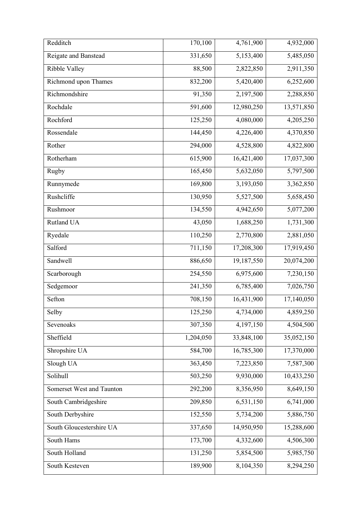| Redditch                         | 170,100   | 4,761,900  | 4,932,000  |
|----------------------------------|-----------|------------|------------|
| Reigate and Banstead             | 331,650   | 5,153,400  | 5,485,050  |
| Ribble Valley                    | 88,500    | 2,822,850  | 2,911,350  |
| Richmond upon Thames             | 832,200   | 5,420,400  | 6,252,600  |
| Richmondshire                    | 91,350    | 2,197,500  | 2,288,850  |
| Rochdale                         | 591,600   | 12,980,250 | 13,571,850 |
| Rochford                         | 125,250   | 4,080,000  | 4,205,250  |
| Rossendale                       | 144,450   | 4,226,400  | 4,370,850  |
| Rother                           | 294,000   | 4,528,800  | 4,822,800  |
| Rotherham                        | 615,900   | 16,421,400 | 17,037,300 |
| Rugby                            | 165,450   | 5,632,050  | 5,797,500  |
| Runnymede                        | 169,800   | 3,193,050  | 3,362,850  |
| Rushcliffe                       | 130,950   | 5,527,500  | 5,658,450  |
| Rushmoor                         | 134,550   | 4,942,650  | 5,077,200  |
| Rutland UA                       | 43,050    | 1,688,250  | 1,731,300  |
| Ryedale                          | 110,250   | 2,770,800  | 2,881,050  |
| Salford                          | 711,150   | 17,208,300 | 17,919,450 |
| Sandwell                         | 886,650   | 19,187,550 | 20,074,200 |
| Scarborough                      | 254,550   | 6,975,600  | 7,230,150  |
| Sedgemoor                        | 241,350   | 6,785,400  | 7,026,750  |
| Sefton                           | 708,150   | 16,431,900 | 17,140,050 |
| Selby                            | 125,250   | 4,734,000  | 4,859,250  |
| Sevenoaks                        | 307,350   | 4,197,150  | 4,504,500  |
| Sheffield                        | 1,204,050 | 33,848,100 | 35,052,150 |
| Shropshire UA                    | 584,700   | 16,785,300 | 17,370,000 |
| Slough UA                        | 363,450   | 7,223,850  | 7,587,300  |
| Solihull                         | 503,250   | 9,930,000  | 10,433,250 |
| <b>Somerset West and Taunton</b> | 292,200   | 8,356,950  | 8,649,150  |
| South Cambridgeshire             | 209,850   | 6,531,150  | 6,741,000  |
| South Derbyshire                 | 152,550   | 5,734,200  | 5,886,750  |
| South Gloucestershire UA         | 337,650   | 14,950,950 | 15,288,600 |
| South Hams                       | 173,700   | 4,332,600  | 4,506,300  |
| South Holland                    | 131,250   | 5,854,500  | 5,985,750  |
| South Kesteven                   | 189,900   | 8,104,350  | 8,294,250  |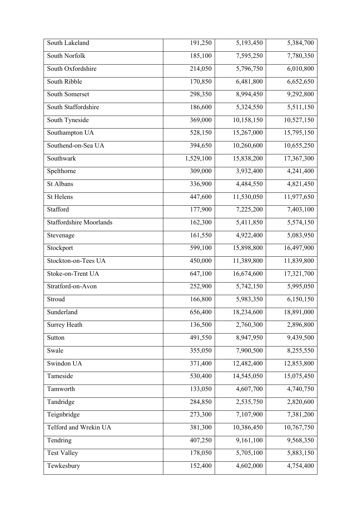| South Lakeland                 | 191,250   | 5,193,450  | 5,384,700  |
|--------------------------------|-----------|------------|------------|
| South Norfolk                  | 185,100   | 7,595,250  | 7,780,350  |
| South Oxfordshire              | 214,050   | 5,796,750  | 6,010,800  |
| South Ribble                   | 170,850   | 6,481,800  | 6,652,650  |
| South Somerset                 | 298,350   | 8,994,450  | 9,292,800  |
| South Staffordshire            | 186,600   | 5,324,550  | 5,511,150  |
| South Tyneside                 | 369,000   | 10,158,150 | 10,527,150 |
| Southampton UA                 | 528,150   | 15,267,000 | 15,795,150 |
| Southend-on-Sea UA             | 394,650   | 10,260,600 | 10,655,250 |
| Southwark                      | 1,529,100 | 15,838,200 | 17,367,300 |
| Spelthorne                     | 309,000   | 3,932,400  | 4,241,400  |
| St Albans                      | 336,900   | 4,484,550  | 4,821,450  |
| <b>St Helens</b>               | 447,600   | 11,530,050 | 11,977,650 |
| Stafford                       | 177,900   | 7,225,200  | 7,403,100  |
| <b>Staffordshire Moorlands</b> | 162,300   | 5,411,850  | 5,574,150  |
| Stevenage                      | 161,550   | 4,922,400  | 5,083,950  |
| Stockport                      | 599,100   | 15,898,800 | 16,497,900 |
| Stockton-on-Tees UA            | 450,000   | 11,389,800 | 11,839,800 |
| Stoke-on-Trent UA              | 647,100   | 16,674,600 | 17,321,700 |
| Stratford-on-Avon              | 252,900   | 5,742,150  | 5,995,050  |
| Stroud                         | 166,800   | 5,983,350  | 6,150,150  |
| Sunderland                     | 656,400   | 18,234,600 | 18,891,000 |
| <b>Surrey Heath</b>            | 136,500   | 2,760,300  | 2,896,800  |
| Sutton                         | 491,550   | 8,947,950  | 9,439,500  |
| Swale                          | 355,050   | 7,900,500  | 8,255,550  |
| Swindon UA                     | 371,400   | 12,482,400 | 12,853,800 |
| Tameside                       | 530,400   | 14,545,050 | 15,075,450 |
| Tamworth                       | 133,050   | 4,607,700  | 4,740,750  |
| Tandridge                      | 284,850   | 2,535,750  | 2,820,600  |
| Teignbridge                    | 273,300   | 7,107,900  | 7,381,200  |
| Telford and Wrekin UA          | 381,300   | 10,386,450 | 10,767,750 |
| Tendring                       | 407,250   | 9,161,100  | 9,568,350  |
| <b>Test Valley</b>             | 178,050   | 5,705,100  | 5,883,150  |
| Tewkesbury                     | 152,400   | 4,602,000  | 4,754,400  |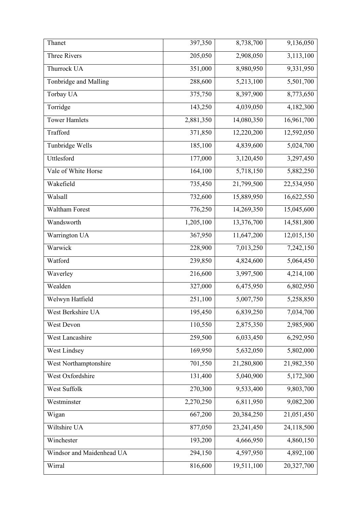| Thanet                    | 397,350   | 8,738,700  | 9,136,050  |
|---------------------------|-----------|------------|------------|
| <b>Three Rivers</b>       | 205,050   | 2,908,050  | 3,113,100  |
| Thurrock UA               | 351,000   | 8,980,950  | 9,331,950  |
| Tonbridge and Malling     | 288,600   | 5,213,100  | 5,501,700  |
| Torbay UA                 | 375,750   | 8,397,900  | 8,773,650  |
| Torridge                  | 143,250   | 4,039,050  | 4,182,300  |
| <b>Tower Hamlets</b>      | 2,881,350 | 14,080,350 | 16,961,700 |
| Trafford                  | 371,850   | 12,220,200 | 12,592,050 |
| Tunbridge Wells           | 185,100   | 4,839,600  | 5,024,700  |
| Uttlesford                | 177,000   | 3,120,450  | 3,297,450  |
| Vale of White Horse       | 164,100   | 5,718,150  | 5,882,250  |
| Wakefield                 | 735,450   | 21,799,500 | 22,534,950 |
| Walsall                   | 732,600   | 15,889,950 | 16,622,550 |
| <b>Waltham Forest</b>     | 776,250   | 14,269,350 | 15,045,600 |
| Wandsworth                | 1,205,100 | 13,376,700 | 14,581,800 |
| Warrington UA             | 367,950   | 11,647,200 | 12,015,150 |
| Warwick                   | 228,900   | 7,013,250  | 7,242,150  |
| Watford                   | 239,850   | 4,824,600  | 5,064,450  |
| Waverley                  | 216,600   | 3,997,500  | 4,214,100  |
| Wealden                   | 327,000   | 6,475,950  | 6,802,950  |
| Welwyn Hatfield           | 251,100   | 5,007,750  | 5,258,850  |
| West Berkshire UA         | 195,450   | 6,839,250  | 7,034,700  |
| West Devon                | 110,550   | 2,875,350  | 2,985,900  |
| West Lancashire           | 259,500   | 6,033,450  | 6,292,950  |
| West Lindsey              | 169,950   | 5,632,050  | 5,802,000  |
| West Northamptonshire     | 701,550   | 21,280,800 | 21,982,350 |
| West Oxfordshire          | 131,400   | 5,040,900  | 5,172,300  |
| West Suffolk              | 270,300   | 9,533,400  | 9,803,700  |
| Westminster               | 2,270,250 | 6,811,950  | 9,082,200  |
| Wigan                     | 667,200   | 20,384,250 | 21,051,450 |
| Wiltshire UA              | 877,050   | 23,241,450 | 24,118,500 |
| Winchester                | 193,200   | 4,666,950  | 4,860,150  |
| Windsor and Maidenhead UA | 294,150   | 4,597,950  | 4,892,100  |
| Wirral                    | 816,600   | 19,511,100 | 20,327,700 |
|                           |           |            |            |